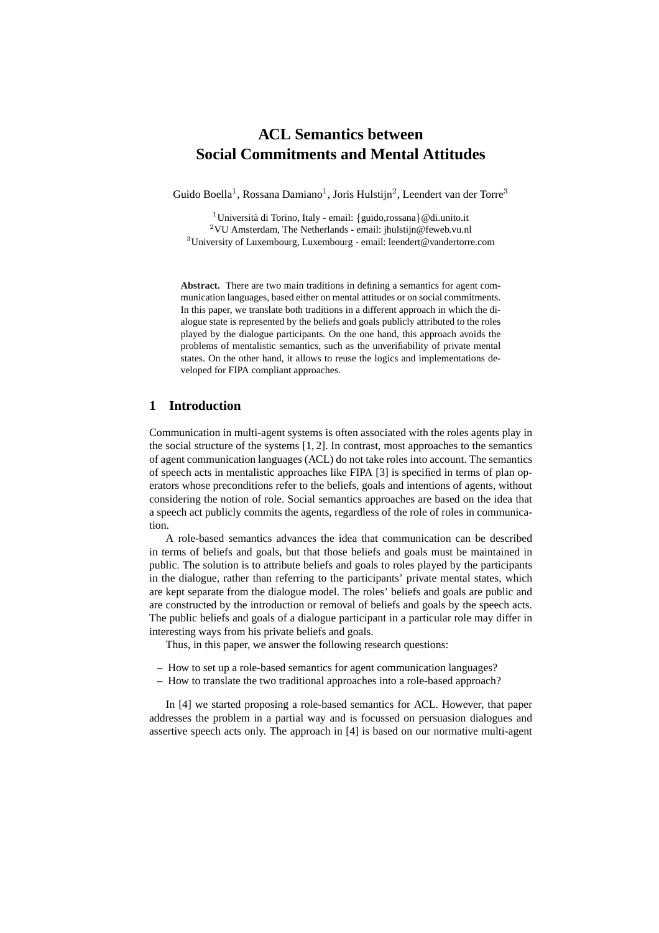# **ACL Semantics between Social Commitments and Mental Attitudes**

Guido Boella<sup>1</sup>, Rossana Damiano<sup>1</sup>, Joris Hulstijn<sup>2</sup>, Leendert van der Torre<sup>3</sup>

<sup>1</sup>Università di Torino, Italy - email: {guido,rossana}@di.unito.it <sup>2</sup>VU Amsterdam, The Netherlands - email: jhulstijn@feweb.vu.nl <sup>3</sup>University of Luxembourg, Luxembourg - email: leendert@vandertorre.com

**Abstract.** There are two main traditions in defining a semantics for agent communication languages, based either on mental attitudes or on social commitments. In this paper, we translate both traditions in a different approach in which the dialogue state is represented by the beliefs and goals publicly attributed to the roles played by the dialogue participants. On the one hand, this approach avoids the problems of mentalistic semantics, such as the unverifiability of private mental states. On the other hand, it allows to reuse the logics and implementations developed for FIPA compliant approaches.

# **1 Introduction**

Communication in multi-agent systems is often associated with the roles agents play in the social structure of the systems  $[1, 2]$ . In contrast, most approaches to the semantics of agent communication languages (ACL) do not take roles into account. The semantics of speech acts in mentalistic approaches like FIPA [3] is specified in terms of plan operators whose preconditions refer to the beliefs, goals and intentions of agents, without considering the notion of role. Social semantics approaches are based on the idea that a speech act publicly commits the agents, regardless of the role of roles in communication.

A role-based semantics advances the idea that communication can be described in terms of beliefs and goals, but that those beliefs and goals must be maintained in public. The solution is to attribute beliefs and goals to roles played by the participants in the dialogue, rather than referring to the participants' private mental states, which are kept separate from the dialogue model. The roles' beliefs and goals are public and are constructed by the introduction or removal of beliefs and goals by the speech acts. The public beliefs and goals of a dialogue participant in a particular role may differ in interesting ways from his private beliefs and goals.

Thus, in this paper, we answer the following research questions:

- **–** How to set up a role-based semantics for agent communication languages?
- **–** How to translate the two traditional approaches into a role-based approach?

In [4] we started proposing a role-based semantics for ACL. However, that paper addresses the problem in a partial way and is focussed on persuasion dialogues and assertive speech acts only. The approach in [4] is based on our normative multi-agent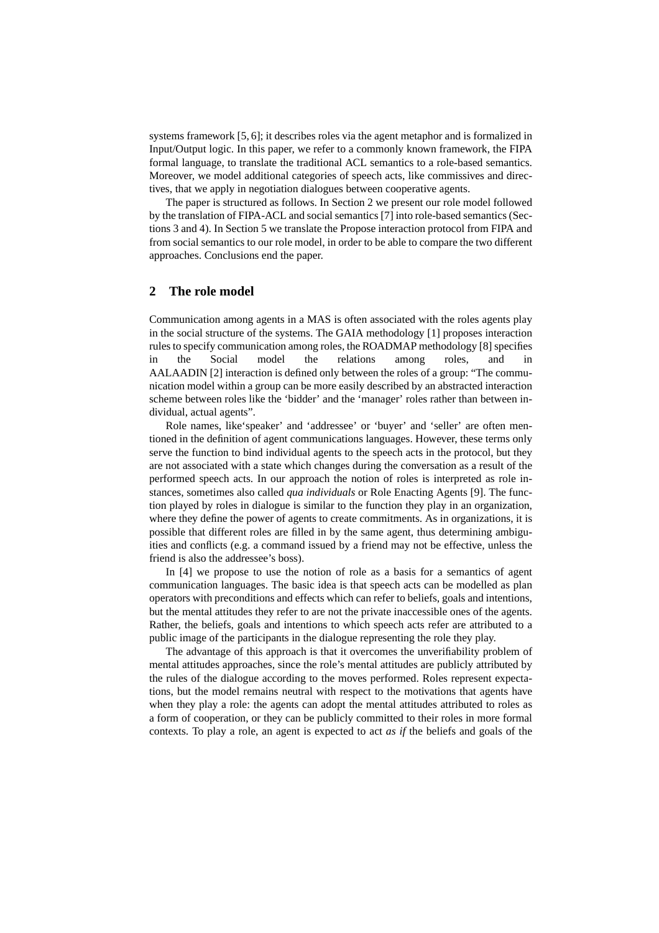systems framework [5, 6]; it describes roles via the agent metaphor and is formalized in Input/Output logic. In this paper, we refer to a commonly known framework, the FIPA formal language, to translate the traditional ACL semantics to a role-based semantics. Moreover, we model additional categories of speech acts, like commissives and directives, that we apply in negotiation dialogues between cooperative agents.

The paper is structured as follows. In Section 2 we present our role model followed by the translation of FIPA-ACL and social semantics [7] into role-based semantics (Sections 3 and 4). In Section 5 we translate the Propose interaction protocol from FIPA and from social semantics to our role model, in order to be able to compare the two different approaches. Conclusions end the paper.

### **2 The role model**

Communication among agents in a MAS is often associated with the roles agents play in the social structure of the systems. The GAIA methodology [1] proposes interaction rules to specify communication among roles, the ROADMAP methodology [8] specifies in the Social model the relations among roles, and in AALAADIN [2] interaction is defined only between the roles of a group: "The communication model within a group can be more easily described by an abstracted interaction scheme between roles like the 'bidder' and the 'manager' roles rather than between individual, actual agents".

Role names, like'speaker' and 'addressee' or 'buyer' and 'seller' are often mentioned in the definition of agent communications languages. However, these terms only serve the function to bind individual agents to the speech acts in the protocol, but they are not associated with a state which changes during the conversation as a result of the performed speech acts. In our approach the notion of roles is interpreted as role instances, sometimes also called *qua individuals* or Role Enacting Agents [9]. The function played by roles in dialogue is similar to the function they play in an organization, where they define the power of agents to create commitments. As in organizations, it is possible that different roles are filled in by the same agent, thus determining ambiguities and conflicts (e.g. a command issued by a friend may not be effective, unless the friend is also the addressee's boss).

In [4] we propose to use the notion of role as a basis for a semantics of agent communication languages. The basic idea is that speech acts can be modelled as plan operators with preconditions and effects which can refer to beliefs, goals and intentions, but the mental attitudes they refer to are not the private inaccessible ones of the agents. Rather, the beliefs, goals and intentions to which speech acts refer are attributed to a public image of the participants in the dialogue representing the role they play.

The advantage of this approach is that it overcomes the unverifiability problem of mental attitudes approaches, since the role's mental attitudes are publicly attributed by the rules of the dialogue according to the moves performed. Roles represent expectations, but the model remains neutral with respect to the motivations that agents have when they play a role: the agents can adopt the mental attitudes attributed to roles as a form of cooperation, or they can be publicly committed to their roles in more formal contexts. To play a role, an agent is expected to act *as if* the beliefs and goals of the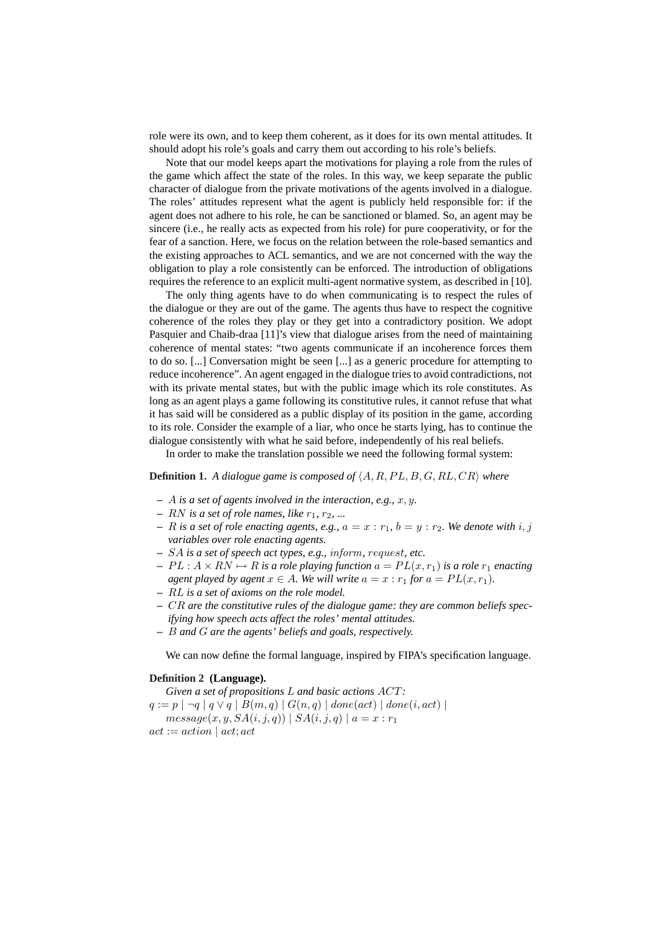role were its own, and to keep them coherent, as it does for its own mental attitudes. It should adopt his role's goals and carry them out according to his role's beliefs.

Note that our model keeps apart the motivations for playing a role from the rules of the game which affect the state of the roles. In this way, we keep separate the public character of dialogue from the private motivations of the agents involved in a dialogue. The roles' attitudes represent what the agent is publicly held responsible for: if the agent does not adhere to his role, he can be sanctioned or blamed. So, an agent may be sincere (i.e., he really acts as expected from his role) for pure cooperativity, or for the fear of a sanction. Here, we focus on the relation between the role-based semantics and the existing approaches to ACL semantics, and we are not concerned with the way the obligation to play a role consistently can be enforced. The introduction of obligations requires the reference to an explicit multi-agent normative system, as described in [10].

The only thing agents have to do when communicating is to respect the rules of the dialogue or they are out of the game. The agents thus have to respect the cognitive coherence of the roles they play or they get into a contradictory position. We adopt Pasquier and Chaib-draa [11]'s view that dialogue arises from the need of maintaining coherence of mental states: "two agents communicate if an incoherence forces them to do so. [...] Conversation might be seen [...] as a generic procedure for attempting to reduce incoherence". An agent engaged in the dialogue tries to avoid contradictions, not with its private mental states, but with the public image which its role constitutes. As long as an agent plays a game following its constitutive rules, it cannot refuse that what it has said will be considered as a public display of its position in the game, according to its role. Consider the example of a liar, who once he starts lying, has to continue the dialogue consistently with what he said before, independently of his real beliefs.

In order to make the translation possible we need the following formal system:

**Definition 1.** *A dialogue game is composed of*  $\langle A, R, PL, B, G, RL, CR \rangle$  *where* 

- **–** A *is a set of agents involved in the interaction, e.g.,* x, y*.*
- $RN$  *is a set of role names, like*  $r_1, r_2, ...$
- $-$  R *is a set of role enacting agents, e.g.,*  $a = x : r_1$ ,  $b = y : r_2$ *. We denote with* i, j *variables over role enacting agents.*
- **–** SA *is a set of speech act types, e.g.,* inform*,* request*, etc.*
- $− PL : A × RN → R$  *is a role playing function*  $a = PL(x, r<sub>1</sub>)$  *is a role*  $r<sub>1</sub>$  *enacting agent played by agent*  $x \in A$ *. We will write*  $a = x : r_1$  *for*  $a = PL(x, r_1)$ *.*
- **–** RL *is a set of axioms on the role model.*
- **–** CR *are the constitutive rules of the dialogue game: they are common beliefs specifying how speech acts affect the roles' mental attitudes.*
- **–** B *and* G *are the agents' beliefs and goals, respectively.*

We can now define the formal language, inspired by FIPA's specification language.

#### **Definition 2 (Language).**

*Given a set of propositions* L *and basic actions* ACT*:*  $q := p | \neg q | q \vee q | B(m, q) | G(n, q) | done (act) | done (i, act) |$  $message(x, y, SA(i, j, q)) | SA(i, j, q) | a = x : r_1$  $act := action | act; act$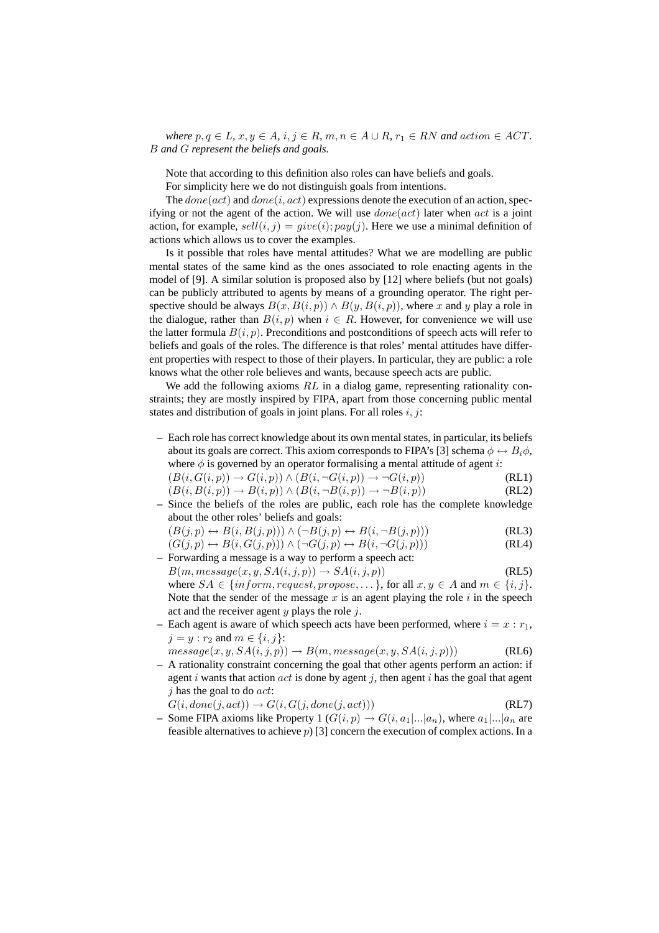*where*  $p, q \in L$ ,  $x, y \in A$ ,  $i, j \in R$ ,  $m, n \in A \cup R$ ,  $r_1 \in RN$  *and action*  $\in ACT$ . B *and* G *represent the beliefs and goals.*

Note that according to this definition also roles can have beliefs and goals.

For simplicity here we do not distinguish goals from intentions.

The  $done(act)$  and  $done(i, act)$  expressions denote the execution of an action, specif ying or not the agent of the action. We will use  $done(act)$  later when act is a joint action, for example,  $\text{sell}(i, j) = \text{give}(i)$ ;  $\text{pay}(j)$ . Here we use a minimal definition of actions which allows us to cover the examples.

Is it possible that roles have mental attitudes? What we are modelling are public mental states of the same kind as the ones associated to role enacting agents in the model of [9]. A similar solution is proposed also by [12] where beliefs (but not goals) can be publicly attributed to agents by means of a grounding operator. The right perspective should be always  $B(x, B(i, p)) \wedge B(y, B(i, p))$ , where x and y play a role in the dialogue, rather than  $B(i, p)$  when  $i \in R$ . However, for convenience we will use the latter formula  $B(i, p)$ . Preconditions and postconditions of speech acts will refer to beliefs and goals of the roles. The difference is that roles' mental attitudes have different properties with respect to those of their players. In particular, they are public: a role knows what the other role believes and wants, because speech acts are public.

We add the following axioms  $RL$  in a dialog game, representing rationality constraints; they are mostly inspired by FIPA, apart from those concerning public mental states and distribution of goals in joint plans. For all roles  $i, j$ :

**–** Each role has correct knowledge about its own mental states, in particular, its beliefs about its goals are correct. This axiom corresponds to FIPA's [3] schema  $\phi \leftrightarrow B_i \phi$ , where  $\phi$  is governed by an operator formalising a mental attitude of agent *i*:  $(B(i, G(i, p)) \rightarrow G(i, p)) \wedge (B(i, \neg G(i, p)) \rightarrow \neg G(i, p))$  (RL1)

$$
(B(i, B(i, p)) \to B(i, p)) \land (B(i, \neg B(i, p)) \to \neg B(i, p))
$$
 (RL2)

**–** Since the beliefs of the roles are public, each role has the complete knowledge about the other roles' beliefs and goals:  $(B(i, p) \leftrightarrow B(i, B(i, p))) \land (\neg B(i, p) \leftrightarrow B(i, \neg B(i, p)))$  (RL3)

$$
(G(j, p) \leftrightarrow B(i, G(j, p))) \land (\neg G(j, p) \leftrightarrow B(i, \neg G(j, p)))
$$
\n(RL4)

- **–** Forwarding a message is a way to perform a speech act:  $B(m, message(x, y, SA(i, j, p)) \rightarrow SA(i, j, p))$  (RL5) where  $SA \in \{inform, request, propose, \dots\}$ , for all  $x, y \in A$  and  $m \in \{i, j\}$ . Note that the sender of the message  $x$  is an agent playing the role  $i$  in the speech act and the receiver agent  $y$  plays the role  $j$ .
- Each agent is aware of which speech acts have been performed, where  $i = x : r_1$ ,  $j = y : r_2$  and  $m \in \{i, j\}$ :

$$
message(x, y, SA(i, j, p)) \rightarrow B(m, message(x, y, SA(i, j, p)))
$$
 (RL6)

**–** A rationality constraint concerning the goal that other agents perform an action: if agent i wants that action act is done by agent j, then agent i has the goal that agent  $j$  has the goal to do  $act$ :

$$
G(i, done(j, act)) \rightarrow G(i, G(j, done(j, act)))
$$
 (RL7)

**–** Some FIPA axioms like Property 1  $(G(i, p) \rightarrow G(i, a_1)...|a_n)$ , where  $a_1)...|a_n$  are feasible alternatives to achieve  $p$  [3] concern the execution of complex actions. In a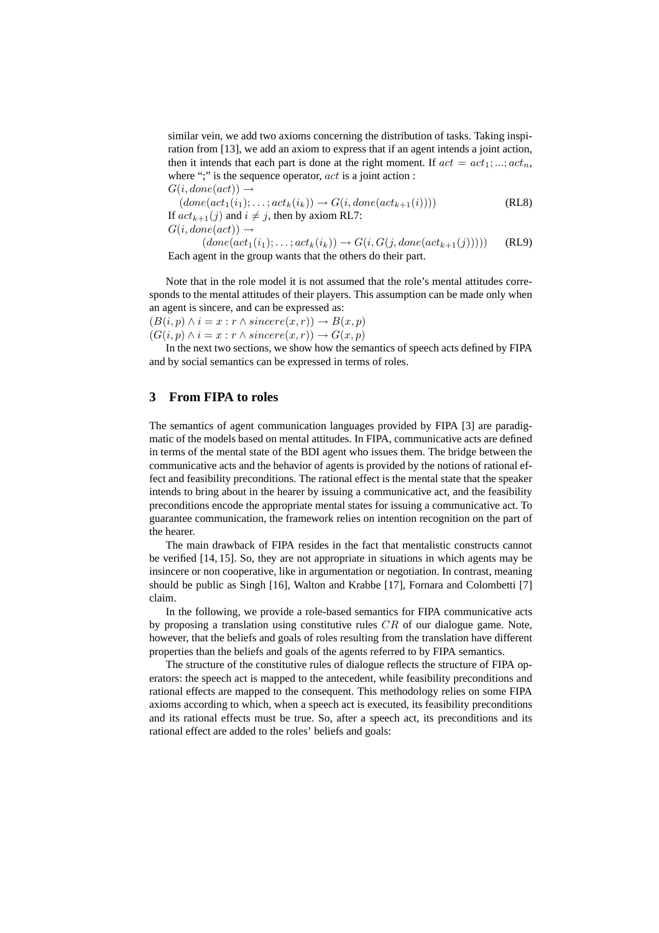similar vein, we add two axioms concerning the distribution of tasks. Taking inspiration from [13], we add an axiom to express that if an agent intends a joint action, then it intends that each part is done at the right moment. If  $act = act_1; ...; act_n$ , where ";" is the sequence operator,  $act$  is a joint action :

 $G(i, done(act)) \rightarrow$  $(done(act_1(i_1); \ldots; act_k(i_k)) \to G(i, done(act_{k+1}(i))))$  (RL8) If  $act_{k+1}(j)$  and  $i \neq j$ , then by axiom RL7:  $G(i, done(act)) \rightarrow$  $(done(act_1(i_1); \ldots; act_k(i_k)) \to G(i, G(j, done(act_{k+1}(j))))$  (RL9)

Each agent in the group wants that the others do their part.

Note that in the role model it is not assumed that the role's mental attitudes corresponds to the mental attitudes of their players. This assumption can be made only when an agent is sincere, and can be expressed as:

 $(B(i, p) \wedge i = x : r \wedge since (x, r)) \rightarrow B(x, p)$  $(G(i, p) \wedge i = x : r \wedge since (x, r)) \rightarrow G(x, p)$ 

In the next two sections, we show how the semantics of speech acts defined by FIPA and by social semantics can be expressed in terms of roles.

#### **3 From FIPA to roles**

The semantics of agent communication languages provided by FIPA [3] are paradigmatic of the models based on mental attitudes. In FIPA, communicative acts are defined in terms of the mental state of the BDI agent who issues them. The bridge between the communicative acts and the behavior of agents is provided by the notions of rational effect and feasibility preconditions. The rational effect is the mental state that the speaker intends to bring about in the hearer by issuing a communicative act, and the feasibility preconditions encode the appropriate mental states for issuing a communicative act. To guarantee communication, the framework relies on intention recognition on the part of the hearer.

The main drawback of FIPA resides in the fact that mentalistic constructs cannot be verified [14, 15]. So, they are not appropriate in situations in which agents may be insincere or non cooperative, like in argumentation or negotiation. In contrast, meaning should be public as Singh [16], Walton and Krabbe [17], Fornara and Colombetti [7] claim.

In the following, we provide a role-based semantics for FIPA communicative acts by proposing a translation using constitutive rules  $CR$  of our dialogue game. Note, however, that the beliefs and goals of roles resulting from the translation have different properties than the beliefs and goals of the agents referred to by FIPA semantics.

The structure of the constitutive rules of dialogue reflects the structure of FIPA operators: the speech act is mapped to the antecedent, while feasibility preconditions and rational effects are mapped to the consequent. This methodology relies on some FIPA axioms according to which, when a speech act is executed, its feasibility preconditions and its rational effects must be true. So, after a speech act, its preconditions and its rational effect are added to the roles' beliefs and goals: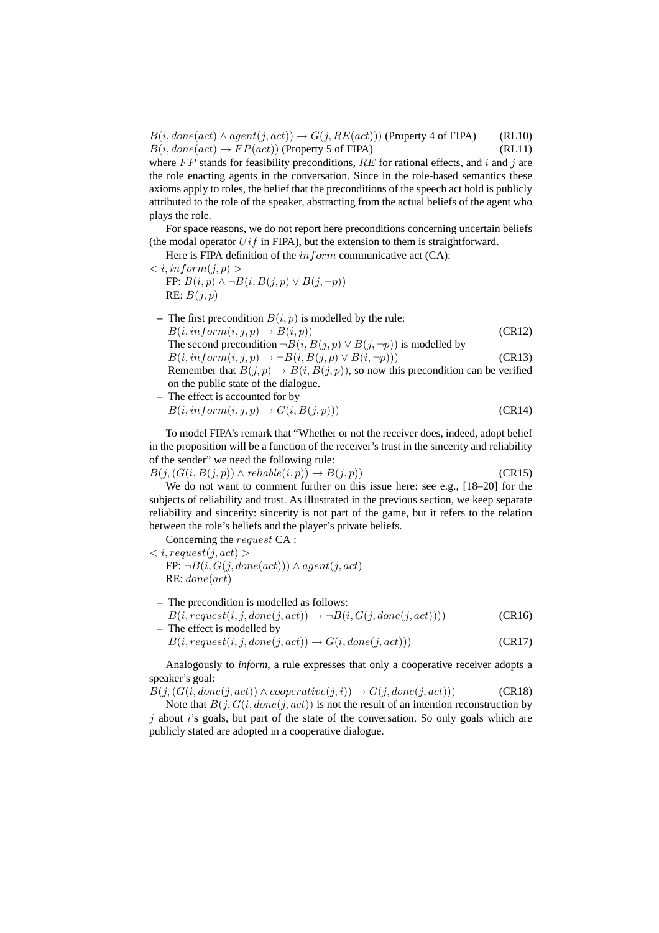$B(i, done(act) \wedge agent(j, act)) \rightarrow G(j, RE(act))$  (Property 4 of FIPA) (RL10)  $B(i, done(act) \rightarrow FP(act))$  (Property 5 of FIPA) (RL11)

where  $FP$  stands for feasibility preconditions,  $RE$  for rational effects, and i and j are the role enacting agents in the conversation. Since in the role-based semantics these axioms apply to roles, the belief that the preconditions of the speech act hold is publicly attributed to the role of the speaker, abstracting from the actual beliefs of the agent who plays the role.

For space reasons, we do not report here preconditions concerning uncertain beliefs (the modal operator  $U$ *if* in FIPA), but the extension to them is straightforward.

Here is FIPA definition of the  $inform$  communicative act (CA):

 $\langle i, \text{inform}(j, p) \rangle$ FP:  $B(i, p) \wedge \neg B(i, B(j, p) \vee B(j, \neg p))$ RE:  $B(j, p)$ 

- The first precondition  $B(i, p)$  is modelled by the rule:  $B(i, \text{inform}(i, j, p) \rightarrow B(i, p))$  (CR12) The second precondition  $\neg B(i, B(j, p) \lor B(j, \neg p))$  is modelled by  $B(i, \text{inform}(i, j, p) \rightarrow \neg B(i, B(j, p) \lor B(i, \neg p)))$  (CR13) Remember that  $B(j, p) \to B(i, B(j, p))$ , so now this precondition can be verified on the public state of the dialogue.
- **–** The effect is accounted for by  $B(i, \text{inform}(i, j, p) \rightarrow G(i, B(j, p)))$  (CR14)

To model FIPA's remark that "Whether or not the receiver does, indeed, adopt belief in the proposition will be a function of the receiver's trust in the sincerity and reliability of the sender" we need the following rule:

 $B(j, (G(i, B(j, p)) \wedge reliable(i, p)) \rightarrow B(j, p))$  (CR15)

We do not want to comment further on this issue here: see e.g., [18–20] for the subjects of reliability and trust. As illustrated in the previous section, we keep separate reliability and sincerity: sincerity is not part of the game, but it refers to the relation between the role's beliefs and the player's private beliefs.

Concerning the request CA :

 $\langle i, request(i, act) \rangle$ FP:  $\neg B(i, G(j, done(act))) \land agent(j, act)$ RE: done(act)

- **–** The precondition is modelled as follows:
- $B(i, request(i, j, done(j, act)) \rightarrow \neg B(i, G(j, done(j, act)))$  (CR16) **–** The effect is modelled by
	- $B(i, request(i, j, done(j, act)) \rightarrow G(i, done(j, act)))$  (CR17)

Analogously to *inform*, a rule expresses that only a cooperative receiver adopts a speaker's goal:

 $B(j, (G(i, done(j, act)) \wedge cooperative(j, i)) \rightarrow G(j, done(j, act)))$  (CR18)

Note that  $B(j, G(i, done(j, act))$  is not the result of an intention reconstruction by  $j$  about  $i$ 's goals, but part of the state of the conversation. So only goals which are publicly stated are adopted in a cooperative dialogue.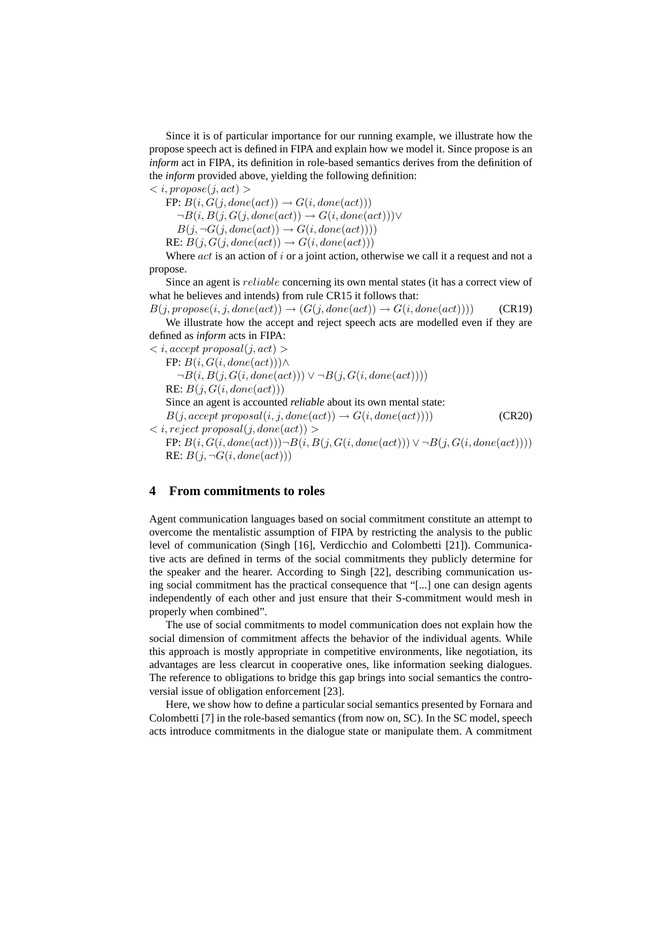Since it is of particular importance for our running example, we illustrate how the propose speech act is defined in FIPA and explain how we model it. Since propose is an *inform* act in FIPA, its definition in role-based semantics derives from the definition of the *inform* provided above, yielding the following definition:

 $\langle i, \text{propose}(i, \text{act}) \rangle$ 

FP:  $B(i, G(j, done(act)) \rightarrow G(i, done(act)))$  $\neg B(i, B(j, G(j, done(act))) \rightarrow G(i, done(act))) \vee$  $B(j, \neg G(j, done(act)) \rightarrow G(i, done(act))))$ RE:  $B(j, G(j, done(act)) \rightarrow G(i, done(act)))$ 

Where  $act$  is an action of  $i$  or a joint action, otherwise we call it a request and not a propose.

Since an agent is reliable concerning its own mental states (it has a correct view of what he believes and intends) from rule CR15 it follows that:

 $B(j, propose(i, j, done(act)) \rightarrow (G(j, done(act)) \rightarrow G(i, done(act))))$  (CR19) We illustrate how the accept and reject speech acts are modelled even if they are

defined as *inform* acts in FIPA:

 $\langle i, accept \, proposal(i, act) \rangle$ FP:  $B(i, G(i, done(act))) \wedge$  $\neg B(i, B(j, G(i, done(act))) \vee \neg B(j, G(i, done(act))))$ RE:  $B(j, G(i, done(act)))$ Since an agent is accounted *reliable* about its own mental state:  $B(j, accept \, proposal(i, j, done(act)) \rightarrow G(i, done(act)))$  (CR20)  $\langle i, reject \, proposal(j, done(act)) \rangle$ FP:  $B(i, G(i, done(act)))\neg B(i, B(j, G(i, done(act))) \vee \neg B(j, G(i, done(act)))$ RE:  $B(j, \neg G(i, done(act)))$ 

## **4 From commitments to roles**

Agent communication languages based on social commitment constitute an attempt to overcome the mentalistic assumption of FIPA by restricting the analysis to the public level of communication (Singh [16], Verdicchio and Colombetti [21]). Communicative acts are defined in terms of the social commitments they publicly determine for the speaker and the hearer. According to Singh [22], describing communication using social commitment has the practical consequence that "[...] one can design agents independently of each other and just ensure that their S-commitment would mesh in properly when combined".

The use of social commitments to model communication does not explain how the social dimension of commitment affects the behavior of the individual agents. While this approach is mostly appropriate in competitive environments, like negotiation, its advantages are less clearcut in cooperative ones, like information seeking dialogues. The reference to obligations to bridge this gap brings into social semantics the controversial issue of obligation enforcement [23].

Here, we show how to define a particular social semantics presented by Fornara and Colombetti [7] in the role-based semantics (from now on, SC). In the SC model, speech acts introduce commitments in the dialogue state or manipulate them. A commitment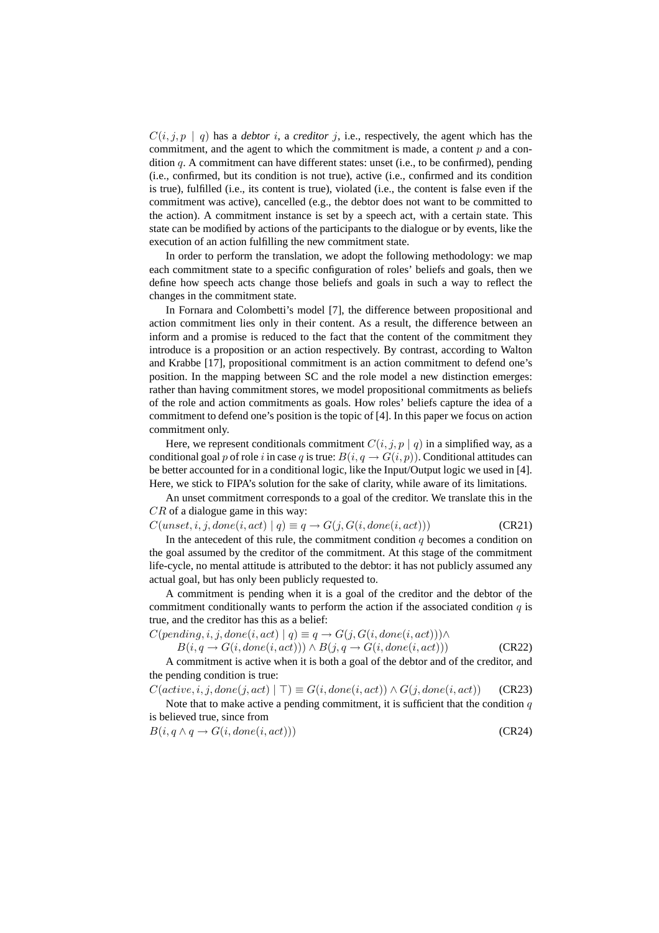$C(i, j, p | q)$  has a *debtor* i, a *creditor* j, i.e., respectively, the agent which has the commitment, and the agent to which the commitment is made, a content  $p$  and a condition  $q$ . A commitment can have different states: unset (i.e., to be confirmed), pending (i.e., confirmed, but its condition is not true), active (i.e., confirmed and its condition is true), fulfilled (i.e., its content is true), violated (i.e., the content is false even if the commitment was active), cancelled (e.g., the debtor does not want to be committed to the action). A commitment instance is set by a speech act, with a certain state. This state can be modified by actions of the participants to the dialogue or by events, like the execution of an action fulfilling the new commitment state.

In order to perform the translation, we adopt the following methodology: we map each commitment state to a specific configuration of roles' beliefs and goals, then we define how speech acts change those beliefs and goals in such a way to reflect the changes in the commitment state.

In Fornara and Colombetti's model [7], the difference between propositional and action commitment lies only in their content. As a result, the difference between an inform and a promise is reduced to the fact that the content of the commitment they introduce is a proposition or an action respectively. By contrast, according to Walton and Krabbe [17], propositional commitment is an action commitment to defend one's position. In the mapping between SC and the role model a new distinction emerges: rather than having commitment stores, we model propositional commitments as beliefs of the role and action commitments as goals. How roles' beliefs capture the idea of a commitment to defend one's position is the topic of [4]. In this paper we focus on action commitment only.

Here, we represent conditionals commitment  $C(i, j, p | q)$  in a simplified way, as a conditional goal p of role i in case q is true:  $B(i, q \rightarrow G(i, p))$ . Conditional attitudes can be better accounted for in a conditional logic, like the Input/Output logic we used in [4]. Here, we stick to FIPA's solution for the sake of clarity, while aware of its limitations.

An unset commitment corresponds to a goal of the creditor. We translate this in the  $CR$  of a dialogue game in this way:

 $C(unset, i, j, done(i, act) | q) \equiv q \rightarrow G(j, G(i, done(i, act)))$  (CR21)

In the antecedent of this rule, the commitment condition  $q$  becomes a condition on the goal assumed by the creditor of the commitment. At this stage of the commitment life-cycle, no mental attitude is attributed to the debtor: it has not publicly assumed any actual goal, but has only been publicly requested to.

A commitment is pending when it is a goal of the creditor and the debtor of the commitment conditionally wants to perform the action if the associated condition  $q$  is true, and the creditor has this as a belief:

 $C(pending, i, j, done(i, act) | q) \equiv q \rightarrow G(j, G(i, done(i, act))) \wedge$ 

$$
B(i, q \to G(i, done(i, act))) \land B(j, q \to G(i, done(i, act)))
$$
 (CR22)

A commitment is active when it is both a goal of the debtor and of the creditor, and the pending condition is true:

 $C(active, i, j, done(j, act) | \top) \equiv G(i, done(i, act)) \wedge G(j, done(i, act))$  (CR23)

Note that to make active a pending commitment, it is sufficient that the condition  $q$ is believed true, since from

$$
B(i, q \wedge q \to G(i, done(i, act))) \tag{CR24}
$$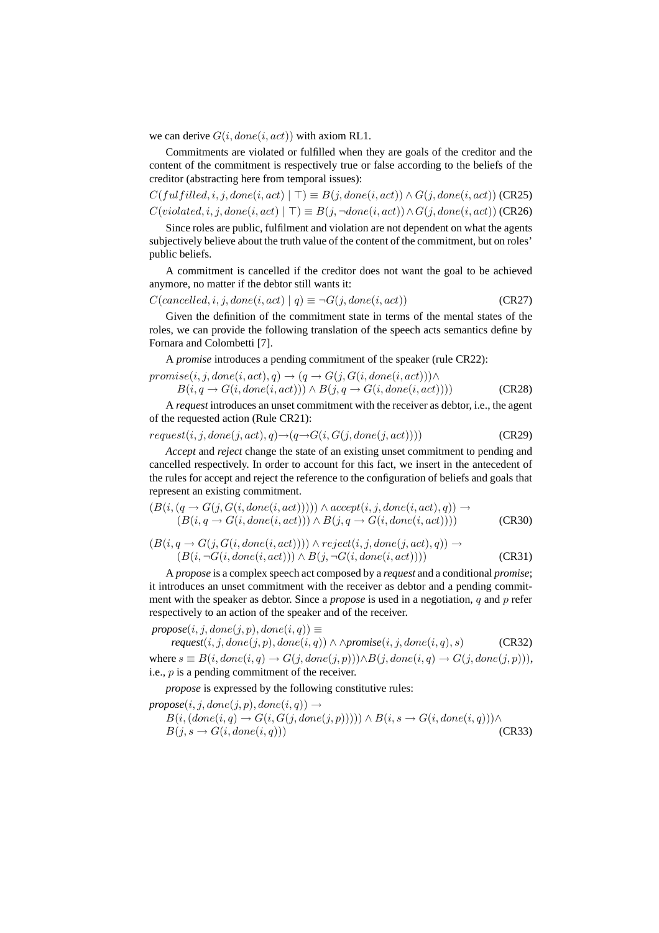we can derive  $G(i, done(i, act))$  with axiom RL1.

Commitments are violated or fulfilled when they are goals of the creditor and the content of the commitment is respectively true or false according to the beliefs of the creditor (abstracting here from temporal issues):

 $C(fulfilled, i, j, done(i, act) | \top) \equiv B(j, done(i, act)) \wedge G(j, done(i, act))$  (CR25)  $C(violated, i, j, done(i, act) | \top) \equiv B(j, \neg done(i, act)) \wedge G(j, done(i, act))$  (CR26)

Since roles are public, fulfilment and violation are not dependent on what the agents subjectively believe about the truth value of the content of the commitment, but on roles' public beliefs.

A commitment is cancelled if the creditor does not want the goal to be achieved anymore, no matter if the debtor still wants it:

$$
C(cancelled, i, j, done(i, act) \mid q) \equiv \neg G(j, done(i, act))
$$
\n
$$
(CR27)
$$

Given the definition of the commitment state in terms of the mental states of the roles, we can provide the following translation of the speech acts semantics define by Fornara and Colombetti [7].

A *promise* introduces a pending commitment of the speaker (rule CR22):

$$
promise(i, j, done(i, act), q) \rightarrow (q \rightarrow G(j, G(i, done(i, act))) \land B(i, q \rightarrow G(i, done(i, act))) \land B(j, q \rightarrow G(i, done(i, act))))
$$
 (CR28)

A *request* introduces an unset commitment with the receiver as debtor, i.e., the agent of the requested action (Rule CR21):

$$
request(i, j, done(j, act), q) \rightarrow (q \rightarrow G(i, G(j, done(j, act))))
$$
\n
$$
(CR29)
$$

*Accept* and *reject* change the state of an existing unset commitment to pending and cancelled respectively. In order to account for this fact, we insert in the antecedent of the rules for accept and reject the reference to the configuration of beliefs and goals that represent an existing commitment.

$$
(B(i, (q \rightarrow G(j, G(i, done(i, act)))) \land accept(i, j, done(i, act), q)) \rightarrow (B(i, q \rightarrow G(i, done(i, act))) \land B(j, q \rightarrow G(i, done(i, act)))) \qquad (CR30)
$$

$$
(B(i, q \rightarrow G(j, G(i, done(i, act)))) \land reject(i, j, done(j, act), q)) \rightarrow (B(i, \neg G(i, done(i, act))) \land B(j, \neg G(i, done(i, act))))
$$
 (CR31)

A *propose* is a complex speech act composed by a *request* and a conditional *promise*; it introduces an unset commitment with the receiver as debtor and a pending commitment with the speaker as debtor. Since a *propose* is used in a negotiation, q and p refer respectively to an action of the speaker and of the receiver.

 $propose(i, j, done(j, p), done(i, q)) \equiv$ 

 $request(i, j, done(j, p), done(i, q)) \wedge \wedge promise(i, j, done(i, q), s)$  (CR32) where  $s \equiv B(i, done(i, q) \rightarrow G(j, done(j, p))) \wedge B(j, done(i, q) \rightarrow G(j, done(j, p))),$ i.e., p is a pending commitment of the receiver.

*propose* is expressed by the following constitutive rules:

 $propose(i, j, done(j, p), done(i, q)) \rightarrow$ 

$$
B(i, (done(i, q) \rightarrow G(i, G(j, done(j, p)))) \land B(i, s \rightarrow G(i, done(i, q))) \land B(j, s \rightarrow G(i, done(i, q)))
$$
(CR33)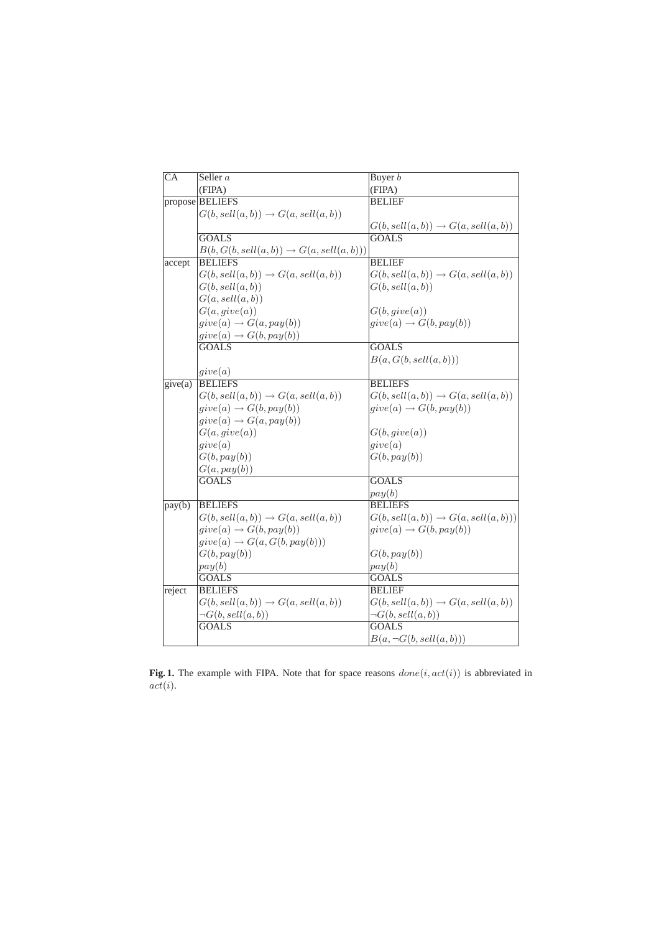| $\overline{\text{CA}}$ | Seller a                                              | Buyer $\overline{b}$                             |
|------------------------|-------------------------------------------------------|--------------------------------------------------|
|                        | (FIPA)                                                | (FIPA)                                           |
|                        | propose BELIEFS                                       | <b>BELIEF</b>                                    |
|                        | $G(b, sell(a, b)) \rightarrow G(a, sell(a, b))$       |                                                  |
|                        |                                                       | $G(b, sell(a, b)) \rightarrow G(a, sell(a, b))$  |
|                        | <b>GOALS</b>                                          | <b>GOALS</b>                                     |
|                        | $B(b, G(b, sell(a, b)) \rightarrow G(a, sell(a, b)))$ |                                                  |
| accept                 | <b>BELIEFS</b>                                        | <b>BELIEF</b>                                    |
|                        | $G(b, sell(a, b)) \rightarrow G(a, sell(a, b))$       | $G(b, sell(a, b)) \rightarrow G(a, sell(a, b))$  |
|                        | G(b, sell(a, b))                                      | G(b, sell(a, b))                                 |
|                        | G(a, sell(a, b))                                      |                                                  |
|                        | G(a, give(a))                                         | G(b, give(a))                                    |
|                        | $give(a) \rightarrow G(a, pay(b))$                    | $give(a) \rightarrow G(b, pay(b))$               |
|                        | $give(a) \rightarrow G(b, pay(b))$                    |                                                  |
|                        | <b>GOALS</b>                                          | <b>GOALS</b>                                     |
|                        |                                                       | B(a, G(b, sell(a, b)))                           |
|                        | give (a)                                              |                                                  |
| give(a)                | <b>BELIEFS</b>                                        | <b>BELIEFS</b>                                   |
|                        | $G(b, sell(a, b)) \rightarrow G(a, sell(a, b))$       | $G(b, sell(a, b)) \rightarrow G(a, sell(a, b))$  |
|                        | $give(a) \rightarrow G(b, pay(b))$                    | $give(a) \rightarrow G(b, pay(b))$               |
|                        | $give(a) \rightarrow G(a, pay(b))$                    |                                                  |
|                        | G(a, give(a))                                         | G(b, give(a))                                    |
|                        | give (a)                                              | give (a)                                         |
|                        | G(b, pay(b))                                          | G(b, pay(b))                                     |
|                        | G(a, pay(b))                                          |                                                  |
|                        | <b>GOALS</b>                                          | <b>GOALS</b>                                     |
|                        |                                                       | pay(b)                                           |
| pay(b)                 | <b>BELIEFS</b>                                        | <b>BELIEFS</b>                                   |
|                        | $G(b, sell(a, b)) \rightarrow G(a, sell(a, b))$       | $G(b, sell(a, b)) \rightarrow G(a, sell(a, b)))$ |
|                        | $give(a) \rightarrow G(b, pay(b))$                    | $give(a) \rightarrow G(b, pay(b))$               |
|                        | $give(a) \rightarrow G(a, G(b, pay(b)))$              |                                                  |
|                        | G(b, pay(b))                                          | G(b, pay(b))                                     |
|                        | pay(b)                                                | pay(b)                                           |
|                        | <b>GOALS</b>                                          | <b>GOALS</b>                                     |
| reject                 | <b>BELIEFS</b>                                        | <b>BELIEF</b>                                    |
|                        | $G(b, sell(a, b)) \rightarrow G(a, sell(a, b))$       | $G(b, sell(a, b)) \rightarrow G(a, sell(a, b))$  |
|                        | $\neg G(b, sell(a, b))$                               | $\neg G(b, sell(a, b))$                          |
|                        | <b>GOALS</b>                                          | <b>GOALS</b>                                     |
|                        |                                                       | $B(a, \neg G(b, sell(a, b)))$                    |

Fig. 1. The example with FIPA. Note that for space reasons  $done(i, act(i))$  is abbreviated in  $act(i).$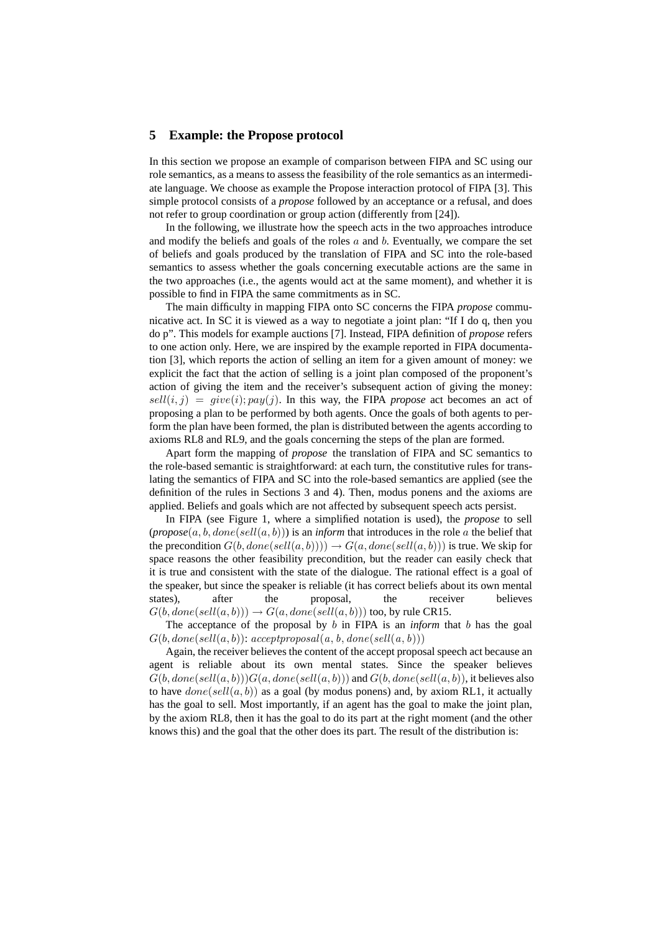#### **5 Example: the Propose protocol**

In this section we propose an example of comparison between FIPA and SC using our role semantics, as a means to assess the feasibility of the role semantics as an intermediate language. We choose as example the Propose interaction protocol of FIPA [3]. This simple protocol consists of a *propose* followed by an acceptance or a refusal, and does not refer to group coordination or group action (differently from [24]).

In the following, we illustrate how the speech acts in the two approaches introduce and modify the beliefs and goals of the roles  $a$  and  $b$ . Eventually, we compare the set of beliefs and goals produced by the translation of FIPA and SC into the role-based semantics to assess whether the goals concerning executable actions are the same in the two approaches (i.e., the agents would act at the same moment), and whether it is possible to find in FIPA the same commitments as in SC.

The main difficulty in mapping FIPA onto SC concerns the FIPA *propose* communicative act. In SC it is viewed as a way to negotiate a joint plan: "If I do q, then you do p". This models for example auctions [7]. Instead, FIPA definition of *propose* refers to one action only. Here, we are inspired by the example reported in FIPA documentation [3], which reports the action of selling an item for a given amount of money: we explicit the fact that the action of selling is a joint plan composed of the proponent's action of giving the item and the receiver's subsequent action of giving the money:  $\text{sell}(i, j) = \text{give}(i); \text{pay}(j)$ . In this way, the FIPA *propose* act becomes an act of proposing a plan to be performed by both agents. Once the goals of both agents to perform the plan have been formed, the plan is distributed between the agents according to axioms RL8 and RL9, and the goals concerning the steps of the plan are formed.

Apart form the mapping of *propose* the translation of FIPA and SC semantics to the role-based semantic is straightforward: at each turn, the constitutive rules for translating the semantics of FIPA and SC into the role-based semantics are applied (see the definition of the rules in Sections 3 and 4). Then, modus ponens and the axioms are applied. Beliefs and goals which are not affected by subsequent speech acts persist.

In FIPA (see Figure 1, where a simplified notation is used), the *propose* to sell  $(propose(a, b, done(self(a, b)))$  is an *inform* that introduces in the role a the belief that the precondition  $G(b, done(self(a, b)))) \rightarrow G(a, done(self(a, b)))$  is true. We skip for space reasons the other feasibility precondition, but the reader can easily check that it is true and consistent with the state of the dialogue. The rational effect is a goal of the speaker, but since the speaker is reliable (it has correct beliefs about its own mental states), after the proposal, the receiver believes  $G(b, done(self(a, b))) \rightarrow G(a, done(self(a, b)))$  too, by rule CR15.

The acceptance of the proposal by b in FIPA is an *inform* that b has the goal  $G(b, done(self(a, b))$ :  $accept proposal(a, b, done(self(a, b)))$ 

Again, the receiver believes the content of the accept proposal speech act because an agent is reliable about its own mental states. Since the speaker believes  $G(b, done(self(a, b)))G(a, done(self(a, b)))$  and  $G(b, done(self(a, b))$ , it believes also to have  $done(sell(a, b))$  as a goal (by modus ponens) and, by axiom RL1, it actually has the goal to sell. Most importantly, if an agent has the goal to make the joint plan, by the axiom RL8, then it has the goal to do its part at the right moment (and the other knows this) and the goal that the other does its part. The result of the distribution is: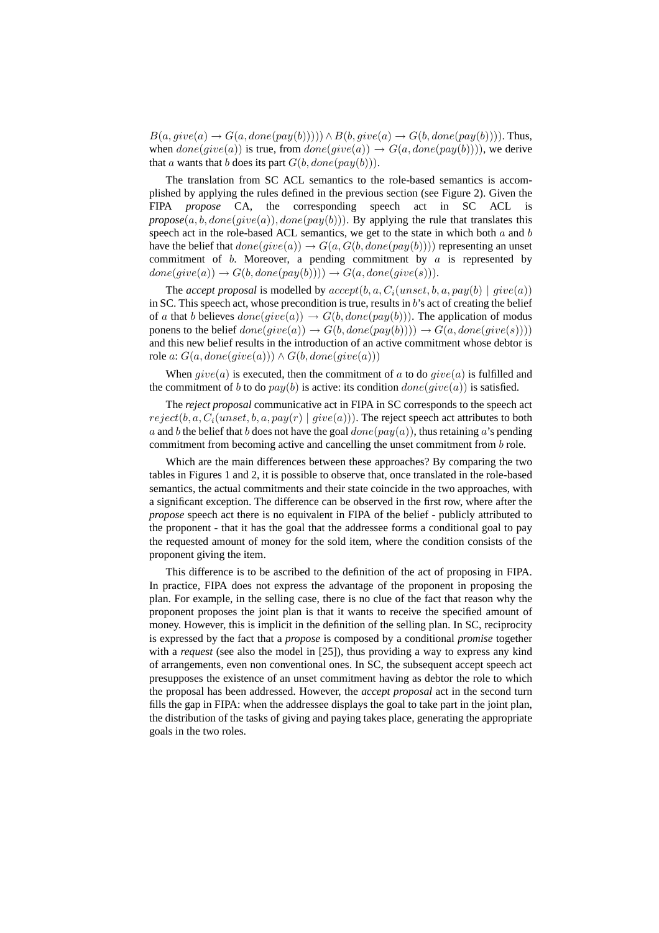$B(a, give(a) \rightarrow G(a, done(pay(b)))) \wedge B(b, give(a) \rightarrow G(b, done(pay(b))))$ . Thus, when  $done(give(a))$  is true, from  $done(give(a)) \rightarrow G(a, done(pay(b))))$ , we derive that a wants that b does its part  $G(b, done(pay(b))).$ 

The translation from SC ACL semantics to the role-based semantics is accomplished by applying the rules defined in the previous section (see Figure 2). Given the FIPA *propose* CA, the corresponding speech act in SC ACL is *propose*(a, b,  $done(give(a))$ ,  $done(pay(b))$ ). By applying the rule that translates this speech act in the role-based ACL semantics, we get to the state in which both  $a$  and  $b$ have the belief that  $done(give(a)) \rightarrow G(a, G(b, done(pay(b))))$  representing an unset commitment of  $b$ . Moreover, a pending commitment by  $a$  is represented by  $done(give(a)) \rightarrow G(b, done(pay(b)))) \rightarrow G(a, done(give(s))).$ 

The *accept proposal* is modelled by  $accept(b, a, C_i(unset, b, a, pay(b) | give(a))$ in SC. This speech act, whose precondition is true, results in  $b$ 's act of creating the belief of a that b believes  $done(qive(a)) \rightarrow G(b, done(pay(b)))$ . The application of modus ponens to the belief  $done(qive(a)) \rightarrow G(b, done(pay(b)))) \rightarrow G(a, done(qive(s))))$ and this new belief results in the introduction of an active commitment whose debtor is role a:  $G(a, done(qive(a))) \wedge G(b, done(qive(a)))$ 

When  $aive(a)$  is executed, then the commitment of a to do  $aive(a)$  is fulfilled and the commitment of b to do  $pay(b)$  is active: its condition  $done(qive(a))$  is satisfied.

The *reject proposal* communicative act in FIPA in SC corresponds to the speech act  $reject(b, a, C_i(unset, b, a, pay(r) | give(a))$ . The reject speech act attributes to both a and b the belief that b does not have the goal  $done(pay(a))$ , thus retaining a's pending commitment from becoming active and cancelling the unset commitment from  $b$  role.

Which are the main differences between these approaches? By comparing the two tables in Figures 1 and 2, it is possible to observe that, once translated in the role-based semantics, the actual commitments and their state coincide in the two approaches, with a significant exception. The difference can be observed in the first row, where after the *propose* speech act there is no equivalent in FIPA of the belief - publicly attributed to the proponent - that it has the goal that the addressee forms a conditional goal to pay the requested amount of money for the sold item, where the condition consists of the proponent giving the item.

This difference is to be ascribed to the definition of the act of proposing in FIPA. In practice, FIPA does not express the advantage of the proponent in proposing the plan. For example, in the selling case, there is no clue of the fact that reason why the proponent proposes the joint plan is that it wants to receive the specified amount of money. However, this is implicit in the definition of the selling plan. In SC, reciprocity is expressed by the fact that a *propose* is composed by a conditional *promise* together with a *request* (see also the model in [25]), thus providing a way to express any kind of arrangements, even non conventional ones. In SC, the subsequent accept speech act presupposes the existence of an unset commitment having as debtor the role to which the proposal has been addressed. However, the *accept proposal* act in the second turn fills the gap in FIPA: when the addressee displays the goal to take part in the joint plan, the distribution of the tasks of giving and paying takes place, generating the appropriate goals in the two roles.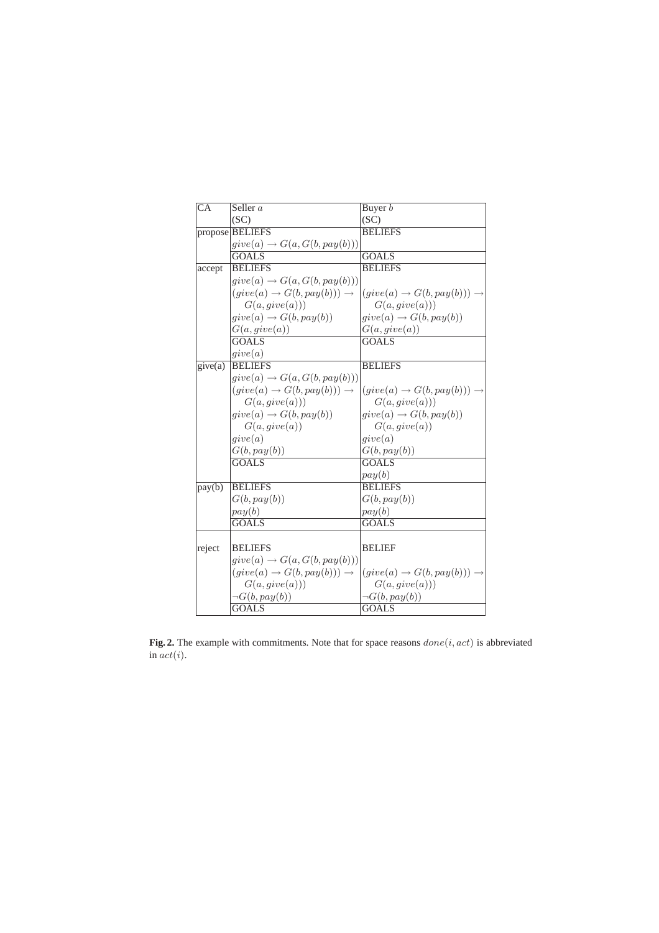| $\overline{CA}$ | Seller $a$                                       | Buyer $b$                                        |
|-----------------|--------------------------------------------------|--------------------------------------------------|
|                 | (SC)                                             | (SC)                                             |
|                 | propose BELIEFS                                  | <b>BELIEFS</b>                                   |
|                 | $give(a) \rightarrow G(a, G(b, pay(b)))$         |                                                  |
|                 | <b>GOALS</b>                                     | <b>GOALS</b>                                     |
|                 | <b>BELIEFS</b>                                   | <b>BELIEFS</b>                                   |
| accept          |                                                  |                                                  |
|                 | $give(a) \rightarrow G(a, G(b, pay(b)))$         |                                                  |
|                 | $(give(a) \rightarrow G(b, pay(b))) \rightarrow$ | $(give(a) \rightarrow G(b, pay(b)))$             |
|                 | G(a,qive(a)))                                    | G(a, give(a)))                                   |
|                 | $give(a) \rightarrow G(b, pay(b))$               | $give(a) \rightarrow G(b, pay(b))$               |
|                 | G(a, give(a))                                    | G(a, give(a))                                    |
|                 | <b>GOALS</b>                                     | <b>GOALS</b>                                     |
|                 | qive(a)                                          |                                                  |
| give(a)         | <b>BELIEFS</b>                                   | <b>BELIEFS</b>                                   |
|                 | $give(a) \rightarrow G(a, G(b, pay(b)))$         |                                                  |
|                 | $(give(a) \rightarrow G(b, pay(b))) \rightarrow$ | $(give(a) \rightarrow G(b, pay(b))) \rightarrow$ |
|                 | G(a,qive(a)))                                    | G(a,qive(a)))                                    |
|                 | $give(a) \rightarrow G(b, pay(b))$               | $give(a) \rightarrow G(b, pay(b))$               |
|                 | G(a, give(a))                                    | G(a, give(a))                                    |
|                 | give (a)                                         | give (a)                                         |
|                 | G(b, pay(b))                                     | G(b, pay(b))                                     |
|                 | GOALS                                            | <b>GOALS</b>                                     |
|                 |                                                  | pay(b)                                           |
| pay(b)          | <b>BELIEFS</b>                                   | <b>BELIEFS</b>                                   |
|                 | G(b, pay(b))                                     | G(b, pay(b))                                     |
|                 | pay(b)                                           | pay(b)                                           |
|                 | <b>GOALS</b>                                     | <b>GOALS</b>                                     |
|                 |                                                  |                                                  |
| reject          | <b>BELIEFS</b>                                   | <b>BELIEF</b>                                    |
|                 | $give(a) \rightarrow G(a, G(b, pay(b)))$         |                                                  |
|                 | $(give(a) \rightarrow G(b, pay(b))) \rightarrow$ | $(give(a) \rightarrow G(b, pay(b))) \rightarrow$ |
|                 | G(a,qive(a)))                                    | G(a,qive(a)))                                    |
|                 | $\neg G(b, pay(b))$                              | $\neg G(b, pay(b))$                              |
|                 | <b>GOALS</b>                                     | <b>GOALS</b>                                     |

Fig. 2. The example with commitments. Note that for space reasons  $done(i, act)$  is abbreviated in  $act(i)$ .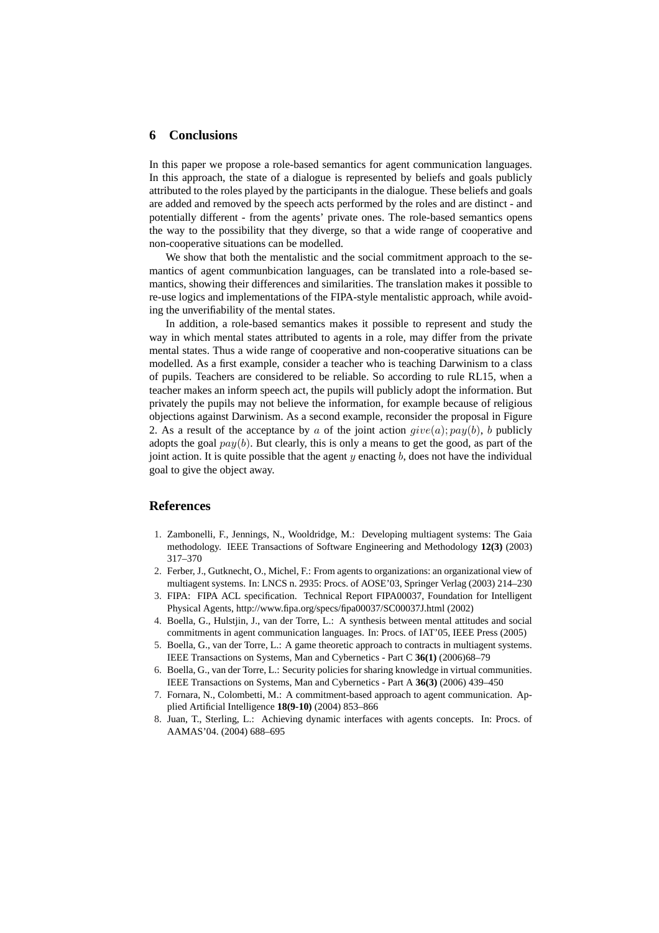# **6 Conclusions**

In this paper we propose a role-based semantics for agent communication languages. In this approach, the state of a dialogue is represented by beliefs and goals publicly attributed to the roles played by the participants in the dialogue. These beliefs and goals are added and removed by the speech acts performed by the roles and are distinct - and potentially different - from the agents' private ones. The role-based semantics opens the way to the possibility that they diverge, so that a wide range of cooperative and non-cooperative situations can be modelled.

We show that both the mentalistic and the social commitment approach to the semantics of agent communbication languages, can be translated into a role-based semantics, showing their differences and similarities. The translation makes it possible to re-use logics and implementations of the FIPA-style mentalistic approach, while avoiding the unverifiability of the mental states.

In addition, a role-based semantics makes it possible to represent and study the way in which mental states attributed to agents in a role, may differ from the private mental states. Thus a wide range of cooperative and non-cooperative situations can be modelled. As a first example, consider a teacher who is teaching Darwinism to a class of pupils. Teachers are considered to be reliable. So according to rule RL15, when a teacher makes an inform speech act, the pupils will publicly adopt the information. But privately the pupils may not believe the information, for example because of religious objections against Darwinism. As a second example, reconsider the proposal in Figure 2. As a result of the acceptance by a of the joint action  $give(a); pay(b), b$  publicly adopts the goal  $pau(b)$ . But clearly, this is only a means to get the good, as part of the joint action. It is quite possible that the agent  $y$  enacting  $b$ , does not have the individual goal to give the object away.

#### **References**

- 1. Zambonelli, F., Jennings, N., Wooldridge, M.: Developing multiagent systems: The Gaia methodology. IEEE Transactions of Software Engineering and Methodology **12(3)** (2003) 317–370
- 2. Ferber, J., Gutknecht, O., Michel, F.: From agents to organizations: an organizational view of multiagent systems. In: LNCS n. 2935: Procs. of AOSE'03, Springer Verlag (2003) 214–230
- 3. FIPA: FIPA ACL specification. Technical Report FIPA00037, Foundation for Intelligent Physical Agents, http://www.fipa.org/specs/fipa00037/SC00037J.html (2002)
- 4. Boella, G., Hulstjin, J., van der Torre, L.: A synthesis between mental attitudes and social commitments in agent communication languages. In: Procs. of IAT'05, IEEE Press (2005)
- 5. Boella, G., van der Torre, L.: A game theoretic approach to contracts in multiagent systems. IEEE Transactions on Systems, Man and Cybernetics - Part C **36(1)** (2006)68–79
- 6. Boella, G., van der Torre, L.: Security policies for sharing knowledge in virtual communities. IEEE Transactions on Systems, Man and Cybernetics - Part A **36(3)** (2006) 439–450
- 7. Fornara, N., Colombetti, M.: A commitment-based approach to agent communication. Applied Artificial Intelligence **18(9-10)** (2004) 853–866
- 8. Juan, T., Sterling, L.: Achieving dynamic interfaces with agents concepts. In: Procs. of AAMAS'04. (2004) 688–695